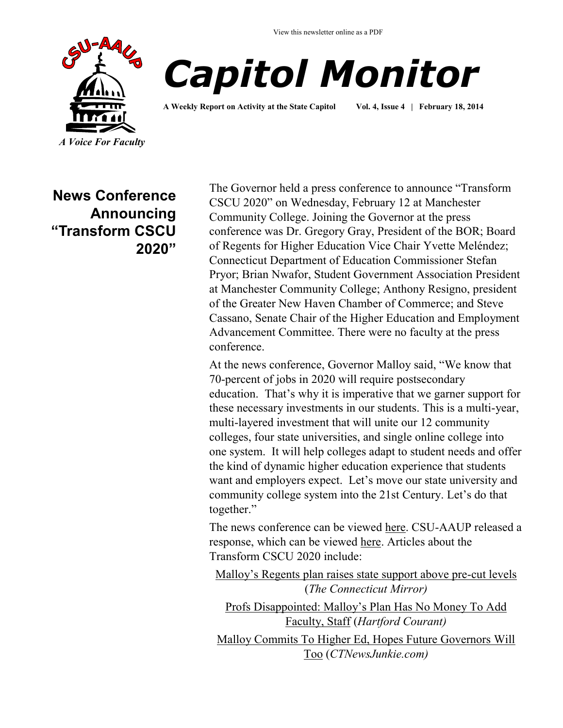

# *Capitol Monitor*

**A Weekly Report on Activity at the State Capitol Vol. 4, Issue 4 | February 18, 2014**

**News Conference Announcing "Transform CSCU 2020"**

The Governor held a press conference to announce "Transform CSCU 2020" on Wednesday, February 12 at Manchester Community College. Joining the Governor at the press conference was Dr. Gregory Gray, President of the BOR; Board of Regents for Higher Education Vice Chair Yvette Meléndez; Connecticut Department of Education Commissioner Stefan Pryor; Brian Nwafor, Student Government Association President at Manchester Community College; Anthony Resigno, president of the Greater New Haven Chamber of Commerce; and Steve Cassano, Senate Chair of the Higher Education and Employment Advancement Committee. There were no faculty at the press conference.

At the news conference, Governor Malloy said, "We know that 70-percent of jobs in 2020 will require postsecondary education. That's why it is imperative that we garner support for these necessary investments in our students. This is a multi-year, multi-layered investment that will unite our 12 community colleges, four state universities, and single online college into one system. It will help colleges adapt to student needs and offer the kind of dynamic higher education experience that students want and employers expect. Let's move our state university and community college system into the 21st Century. Let's do that together."

The news conference can be viewed [here.](http://www.ct-n.com/ctnplayer.asp?odID=9919) CSU-AAUP released a response, which can be viewed [here.](http://www.csuaaup.org/wp-content/uploads/2014/02/Transform-CSCU-2020-Fact-Sheet-Final.pdf) Articles about the Transform CSCU 2020 include:

[Malloy's Regents plan raises state support above pre](http://ctmirror.org/malloys-regents-plan-raises-state-support-above-pre-cut-levels/)-cut levels (*The Connecticut Mirror)*

[Profs Disappointed: Malloy's Plan Has No Money To Add](http://courantblogs.com/capitol-watch/profs-disappointed-malloys-plan-has-no-money-to-add-faculty-staff/)  [Faculty, Staff](http://courantblogs.com/capitol-watch/profs-disappointed-malloys-plan-has-no-money-to-add-faculty-staff/) (*Hartford Courant)*

[Malloy Commits To Higher Ed, Hopes Future Governors Will](http://www.ctnewsjunkie.com/archives/entry/malloy_commits_to_higher_ed_hopes_future_governors_will_too/?utm_source=CTNewsJunkie.com&utm_campaign=0c26e0ff00-MCP_2014&utm_medium=email&utm_term=0_a493d2308d-0c26e0ff00-92887317)  [Too](http://www.ctnewsjunkie.com/archives/entry/malloy_commits_to_higher_ed_hopes_future_governors_will_too/?utm_source=CTNewsJunkie.com&utm_campaign=0c26e0ff00-MCP_2014&utm_medium=email&utm_term=0_a493d2308d-0c26e0ff00-92887317) (*CTNewsJunkie.com)*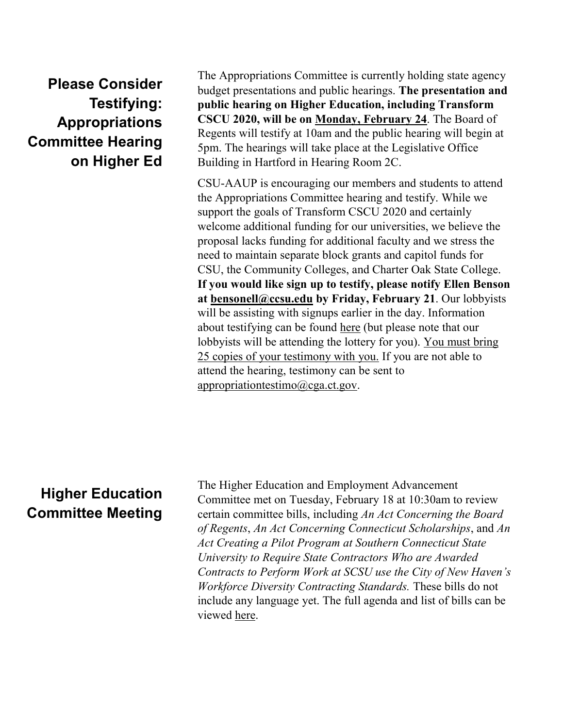**Please Consider Testifying: Appropriations Committee Hearing on Higher Ed**

The Appropriations Committee is currently holding state agency budget presentations and public hearings. **The presentation and public hearing on Higher Education, including Transform CSCU 2020, will be on Monday, February 24**. The Board of Regents will testify at 10am and the public hearing will begin at 5pm. The hearings will take place at the Legislative Office Building in Hartford in Hearing Room 2C.

CSU-AAUP is encouraging our members and students to attend the Appropriations Committee hearing and testify. While we support the goals of Transform CSCU 2020 and certainly welcome additional funding for our universities, we believe the proposal lacks funding for additional faculty and we stress the need to maintain separate block grants and capitol funds for CSU, the Community Colleges, and Charter Oak State College. **If you would like sign up to testify, please notify Ellen Benson at [bensonell@ccsu.edu](mailto:bensonell@ccsu.ed?subject=Appropriations%20Hearing) by Friday, February 21**. Our lobbyists will be assisting with signups earlier in the day. Information about testifying can be found [here](http://www.cga.ct.gov/app/docs/2013/2013%20Budget%20Hearing%20Schedule%20for%20Publication.pdf) (but please note that our lobbyists will be attending the lottery for you). You must bring 25 copies of your testimony with you. If you are not able to attend the hearing, testimony can be sent to [appropriationtestimo@cga.ct.gov.](mailto:appropriationtestimo@cga.ct.gov?subject=Testimony%20re:%20Higher%20Education) 

## **Higher Education Committee Meeting**

The Higher Education and Employment Advancement Committee met on Tuesday, February 18 at 10:30am to review certain committee bills, including *An Act Concerning the Board of Regents*, *An Act Concerning Connecticut Scholarships*, and *An Act Creating a Pilot Program at Southern Connecticut State University to Require State Contractors Who are Awarded Contracts to Perform Work at SCSU use the City of New Haven's Workforce Diversity Contracting Standards.* These bills do not include any language yet. The full agenda and list of bills can be viewed [here.](http://www.cga.ct.gov/2014/HEDdata/ca/2014CA-00218-R001030HED-CA.htm)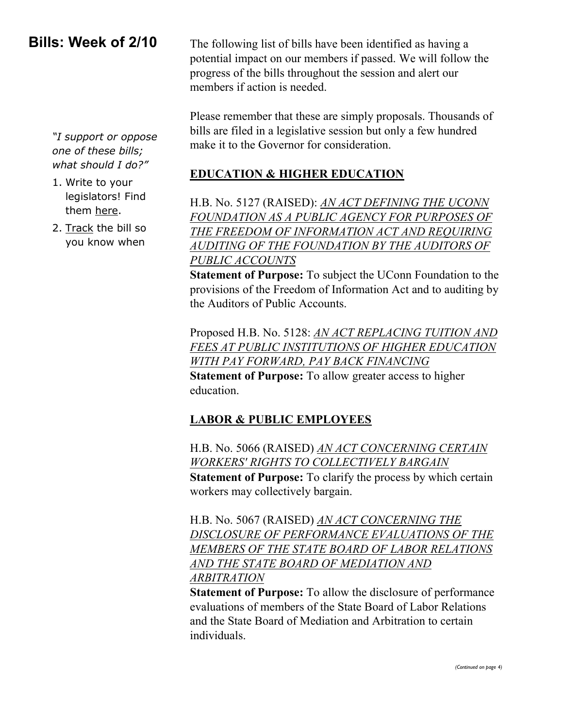### **Bills: Week of 2/10**

*"I support or oppose one of these bills; what should I do?"*

- 1. Write to your legislators! Find them [here.](http://www.cga.ct.gov/asp/menu/CGAFindLeg.asp)
- 2. [Track](http://www.cga.ct.gov/aspx/CGAPublicBillTrack/Register.aspx) the bill so you know when

The following list of bills have been identified as having a potential impact on our members if passed. We will follow the progress of the bills throughout the session and alert our members if action is needed.

Please remember that these are simply proposals. Thousands of bills are filed in a legislative session but only a few hundred make it to the Governor for consideration.

#### **EDUCATION & HIGHER EDUCATION**

H.B. No. 5127 (RAISED): *[AN ACT DEFINING THE UCONN](http://www.cga.ct.gov/asp/cgabillstatus/cgabillstatus.asp?selBillType=Bill&bill_num=HB05127&which_year=2014)  [FOUNDATION AS A PUBLIC AGENCY FOR PURPOSES OF](http://www.cga.ct.gov/asp/cgabillstatus/cgabillstatus.asp?selBillType=Bill&bill_num=HB05127&which_year=2014)  [THE FREEDOM OF INFORMATION ACT AND REQUIRING](http://www.cga.ct.gov/asp/cgabillstatus/cgabillstatus.asp?selBillType=Bill&bill_num=HB05127&which_year=2014)  [AUDITING OF THE FOUNDATION BY THE AUDITORS OF](http://www.cga.ct.gov/asp/cgabillstatus/cgabillstatus.asp?selBillType=Bill&bill_num=HB05127&which_year=2014)  [PUBLIC ACCOUNTS](http://www.cga.ct.gov/asp/cgabillstatus/cgabillstatus.asp?selBillType=Bill&bill_num=HB05127&which_year=2014)*

**Statement of Purpose:** To subject the UConn Foundation to the provisions of the Freedom of Information Act and to auditing by the Auditors of Public Accounts.

Proposed H.B. No. 5128: *[AN ACT REPLACING TUITION AND](http://www.cga.ct.gov/asp/cgabillstatus/cgabillstatus.asp?selBillType=Bill&bill_num=HB05128&which_year=2014)  [FEES AT PUBLIC INSTITUTIONS OF HIGHER EDUCATION](http://www.cga.ct.gov/asp/cgabillstatus/cgabillstatus.asp?selBillType=Bill&bill_num=HB05128&which_year=2014)  [WITH PAY FORWARD, PAY BACK FINANCING](http://www.cga.ct.gov/asp/cgabillstatus/cgabillstatus.asp?selBillType=Bill&bill_num=HB05128&which_year=2014)*

**Statement of Purpose:** To allow greater access to higher education.

#### **LABOR & PUBLIC EMPLOYEES**

H.B. No. 5066 (RAISED) *[AN ACT CONCERNING CERTAIN](http://www.cga.ct.gov/asp/cgabillstatus/cgabillstatus.asp?selBillType=Bill&bill_num=HB05066&which_year=2014)  [WORKERS' RIGHTS TO COLLECTIVELY BARGAIN](http://www.cga.ct.gov/asp/cgabillstatus/cgabillstatus.asp?selBillType=Bill&bill_num=HB05066&which_year=2014)* **Statement of Purpose:** To clarify the process by which certain workers may collectively bargain.

H.B. No. 5067 (RAISED) *[AN ACT CONCERNING THE](http://www.cga.ct.gov/asp/cgabillstatus/cgabillstatus.asp?selBillType=Bill&bill_num=HB05067&which_year=2014)  [DISCLOSURE OF PERFORMANCE EVALUATIONS OF THE](http://www.cga.ct.gov/asp/cgabillstatus/cgabillstatus.asp?selBillType=Bill&bill_num=HB05067&which_year=2014)  [MEMBERS OF THE STATE BOARD OF LABOR RELATIONS](http://www.cga.ct.gov/asp/cgabillstatus/cgabillstatus.asp?selBillType=Bill&bill_num=HB05067&which_year=2014)  [AND THE STATE BOARD OF MEDIATION AND](http://www.cga.ct.gov/asp/cgabillstatus/cgabillstatus.asp?selBillType=Bill&bill_num=HB05067&which_year=2014)  [ARBITRATION](http://www.cga.ct.gov/asp/cgabillstatus/cgabillstatus.asp?selBillType=Bill&bill_num=HB05067&which_year=2014)*

**Statement of Purpose:** To allow the disclosure of performance evaluations of members of the State Board of Labor Relations and the State Board of Mediation and Arbitration to certain individuals.